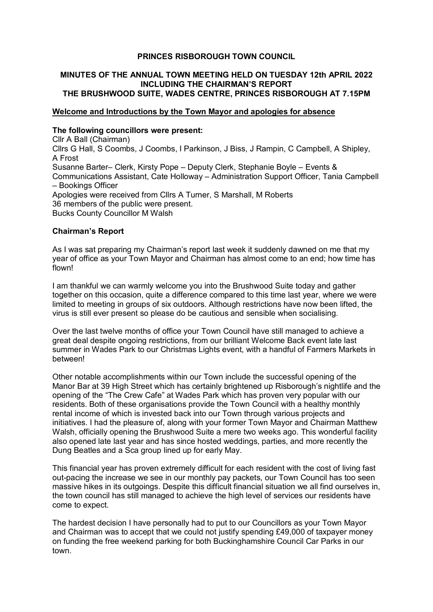### **PRINCES RISBOROUGH TOWN COUNCIL**

## **MINUTES OF THE ANNUAL TOWN MEETING HELD ON TUESDAY 12th APRIL 2022 INCLUDING THE CHAIRMAN'S REPORT THE BRUSHWOOD SUITE, WADES CENTRE, PRINCES RISBOROUGH AT 7.15PM**

#### **Welcome and Introductions by the Town Mayor and apologies for absence**

#### **The following councillors were present:**

Cllr A Ball (Chairman) Cllrs G Hall, S Coombs, J Coombs, I Parkinson, J Biss, J Rampin, C Campbell, A Shipley, A Frost Susanne Barter– Clerk, Kirsty Pope – Deputy Clerk, Stephanie Boyle – Events & Communications Assistant, Cate Holloway – Administration Support Officer, Tania Campbell – Bookings Officer Apologies were received from Cllrs A Turner, S Marshall, M Roberts 36 members of the public were present. Bucks County Councillor M Walsh

### **Chairman's Report**

As I was sat preparing my Chairman's report last week it suddenly dawned on me that my year of office as your Town Mayor and Chairman has almost come to an end; how time has flown!

I am thankful we can warmly welcome you into the Brushwood Suite today and gather together on this occasion, quite a difference compared to this time last year, where we were limited to meeting in groups of six outdoors. Although restrictions have now been lifted, the virus is still ever present so please do be cautious and sensible when socialising.

Over the last twelve months of office your Town Council have still managed to achieve a great deal despite ongoing restrictions, from our brilliant Welcome Back event late last summer in Wades Park to our Christmas Lights event, with a handful of Farmers Markets in between!

Other notable accomplishments within our Town include the successful opening of the Manor Bar at 39 High Street which has certainly brightened up Risborough's nightlife and the opening of the "The Crew Cafe" at Wades Park which has proven very popular with our residents. Both of these organisations provide the Town Council with a healthy monthly rental income of which is invested back into our Town through various projects and initiatives. I had the pleasure of, along with your former Town Mayor and Chairman Matthew Walsh, officially opening the Brushwood Suite a mere two weeks ago. This wonderful facility also opened late last year and has since hosted weddings, parties, and more recently the Dung Beatles and a Sca group lined up for early May.

This financial year has proven extremely difficult for each resident with the cost of living fast out-pacing the increase we see in our monthly pay packets, our Town Council has too seen massive hikes in its outgoings. Despite this difficult financial situation we all find ourselves in, the town council has still managed to achieve the high level of services our residents have come to expect.

The hardest decision I have personally had to put to our Councillors as your Town Mayor and Chairman was to accept that we could not justify spending £49,000 of taxpayer money on funding the free weekend parking for both Buckinghamshire Council Car Parks in our town.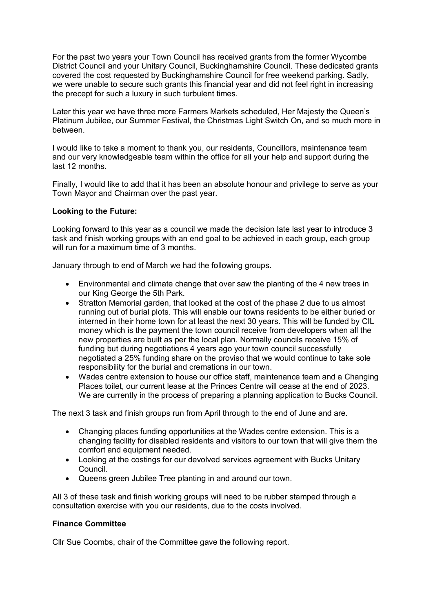For the past two years your Town Council has received grants from the former Wycombe District Council and your Unitary Council, Buckinghamshire Council. These dedicated grants covered the cost requested by Buckinghamshire Council for free weekend parking. Sadly, we were unable to secure such grants this financial year and did not feel right in increasing the precept for such a luxury in such turbulent times.

Later this year we have three more Farmers Markets scheduled, Her Majesty the Queen's Platinum Jubilee, our Summer Festival, the Christmas Light Switch On, and so much more in between.

I would like to take a moment to thank you, our residents, Councillors, maintenance team and our very knowledgeable team within the office for all your help and support during the last 12 months.

Finally, I would like to add that it has been an absolute honour and privilege to serve as your Town Mayor and Chairman over the past year.

#### **Looking to the Future:**

Looking forward to this year as a council we made the decision late last year to introduce 3 task and finish working groups with an end goal to be achieved in each group, each group will run for a maximum time of 3 months.

January through to end of March we had the following groups.

- Environmental and climate change that over saw the planting of the 4 new trees in our King George the 5th Park.
- Stratton Memorial garden, that looked at the cost of the phase 2 due to us almost running out of burial plots. This will enable our towns residents to be either buried or interned in their home town for at least the next 30 years. This will be funded by CIL money which is the payment the town council receive from developers when all the new properties are built as per the local plan. Normally councils receive 15% of funding but during negotiations 4 years ago your town council successfully negotiated a 25% funding share on the proviso that we would continue to take sole responsibility for the burial and cremations in our town.
- Wades centre extension to house our office staff, maintenance team and a Changing Places toilet, our current lease at the Princes Centre will cease at the end of 2023. We are currently in the process of preparing a planning application to Bucks Council.

The next 3 task and finish groups run from April through to the end of June and are.

- Changing places funding opportunities at the Wades centre extension. This is a changing facility for disabled residents and visitors to our town that will give them the comfort and equipment needed.
- Looking at the costings for our devolved services agreement with Bucks Unitary Council.
- Queens green Jubilee Tree planting in and around our town.

All 3 of these task and finish working groups will need to be rubber stamped through a consultation exercise with you our residents, due to the costs involved.

#### **Finance Committee**

Cllr Sue Coombs, chair of the Committee gave the following report.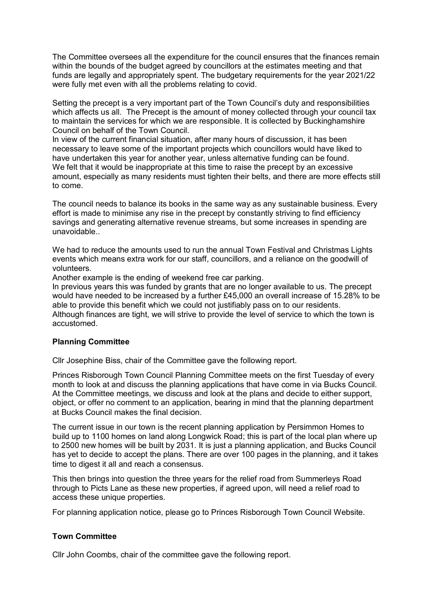The Committee oversees all the expenditure for the council ensures that the finances remain within the bounds of the budget agreed by councillors at the estimates meeting and that funds are legally and appropriately spent. The budgetary requirements for the year 2021/22 were fully met even with all the problems relating to covid.

Setting the precept is a very important part of the Town Council's duty and responsibilities which affects us all. The Precept is the amount of money collected through your council tax to maintain the services for which we are responsible. It is collected by Buckinghamshire Council on behalf of the Town Council.

In view of the current financial situation, after many hours of discussion, it has been necessary to leave some of the important projects which councillors would have liked to have undertaken this year for another year, unless alternative funding can be found. We felt that it would be inappropriate at this time to raise the precept by an excessive amount, especially as many residents must tighten their belts, and there are more effects still to come.

The council needs to balance its books in the same way as any sustainable business. Every effort is made to minimise any rise in the precept by constantly striving to find efficiency savings and generating alternative revenue streams, but some increases in spending are unavoidable..

We had to reduce the amounts used to run the annual Town Festival and Christmas Lights events which means extra work for our staff, councillors, and a reliance on the goodwill of volunteers.

Another example is the ending of weekend free car parking.

In previous years this was funded by grants that are no longer available to us. The precept would have needed to be increased by a further £45,000 an overall increase of 15.28% to be able to provide this benefit which we could not justifiably pass on to our residents. Although finances are tight, we will strive to provide the level of service to which the town is accustomed.

### **Planning Committee**

Cllr Josephine Biss, chair of the Committee gave the following report.

Princes Risborough Town Council Planning Committee meets on the first Tuesday of every month to look at and discuss the planning applications that have come in via Bucks Council. At the Committee meetings, we discuss and look at the plans and decide to either support, object, or offer no comment to an application, bearing in mind that the planning department at Bucks Council makes the final decision.

The current issue in our town is the recent planning application by Persimmon Homes to build up to 1100 homes on land along Longwick Road; this is part of the local plan where up to 2500 new homes will be built by 2031. It is just a planning application, and Bucks Council has yet to decide to accept the plans. There are over 100 pages in the planning, and it takes time to digest it all and reach a consensus.

This then brings into question the three years for the relief road from Summerleys Road through to Picts Lane as these new properties, if agreed upon, will need a relief road to access these unique properties.

For planning application notice, please go to Princes Risborough Town Council Website.

### **Town Committee**

Cllr John Coombs, chair of the committee gave the following report.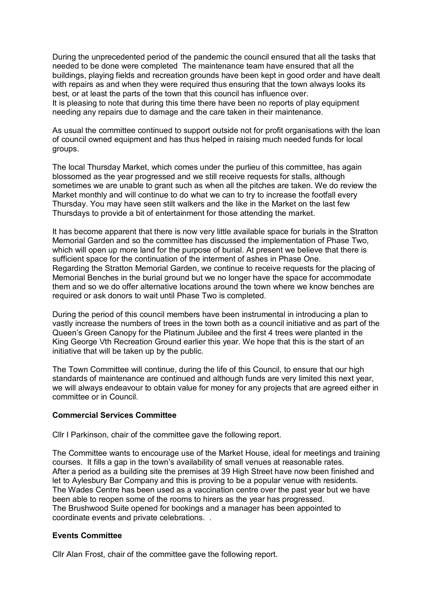During the unprecedented period of the pandemic the council ensured that all the tasks that needed to be done were completed The maintenance team have ensured that all the buildings, playing fields and recreation grounds have been kept in good order and have dealt with repairs as and when they were required thus ensuring that the town always looks its best, or at least the parts of the town that this council has influence over. It is pleasing to note that during this time there have been no reports of play equipment needing any repairs due to damage and the care taken in their maintenance.

As usual the committee continued to support outside not for profit organisations with the loan of council owned equipment and has thus helped in raising much needed funds for local groups.

The local Thursday Market, which comes under the purlieu of this committee, has again blossomed as the year progressed and we still receive requests for stalls, although sometimes we are unable to grant such as when all the pitches are taken. We do review the Market monthly and will continue to do what we can to try to increase the footfall every Thursday. You may have seen stilt walkers and the like in the Market on the last few Thursdays to provide a bit of entertainment for those attending the market.

It has become apparent that there is now very little available space for burials in the Stratton Memorial Garden and so the committee has discussed the implementation of Phase Two, which will open up more land for the purpose of burial. At present we believe that there is sufficient space for the continuation of the interment of ashes in Phase One. Regarding the Stratton Memorial Garden, we continue to receive requests for the placing of Memorial Benches in the burial ground but we no longer have the space for accommodate them and so we do offer alternative locations around the town where we know benches are required or ask donors to wait until Phase Two is completed.

During the period of this council members have been instrumental in introducing a plan to vastly increase the numbers of trees in the town both as a council initiative and as part of the Queen's Green Canopy for the Platinum Jubilee and the first 4 trees were planted in the King George Vth Recreation Ground earlier this year. We hope that this is the start of an initiative that will be taken up by the public.

The Town Committee will continue, during the life of this Council, to ensure that our high standards of maintenance are continued and although funds are very limited this next year, we will always endeavour to obtain value for money for any projects that are agreed either in committee or in Council.

### **Commercial Services Committee**

Cllr I Parkinson, chair of the committee gave the following report.

The Committee wants to encourage use of the Market House, ideal for meetings and training courses. It fills a gap in the town's availability of small venues at reasonable rates. After a period as a building site the premises at 39 High Street have now been finished and let to Aylesbury Bar Company and this is proving to be a popular venue with residents. The Wades Centre has been used as a vaccination centre over the past year but we have been able to reopen some of the rooms to hirers as the year has progressed. The Brushwood Suite opened for bookings and a manager has been appointed to coordinate events and private celebrations. .

### **Events Committee**

Cllr Alan Frost, chair of the committee gave the following report.